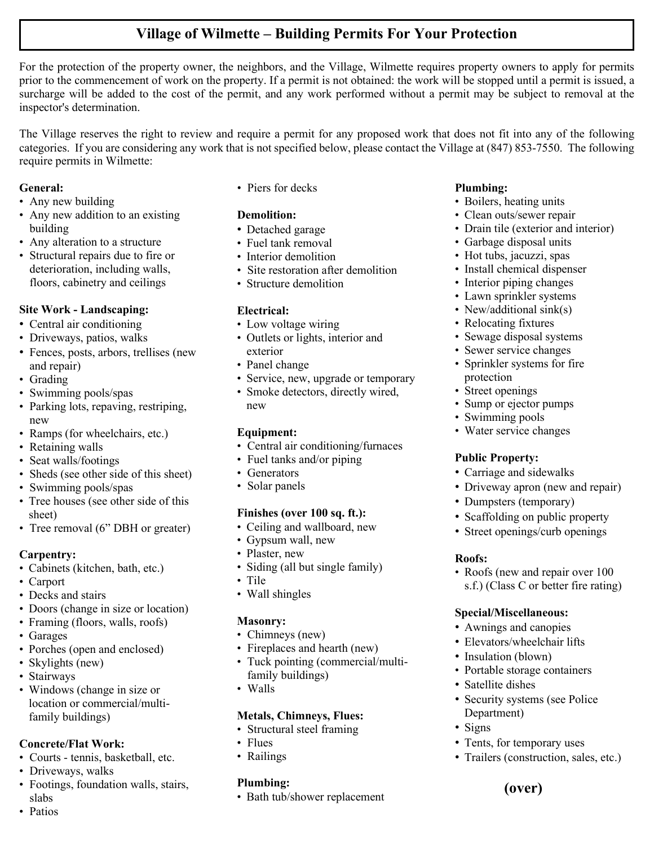## **Village of Wilmette – Building Permits For Your Protection**

For the protection of the property owner, the neighbors, and the Village, Wilmette requires property owners to apply for permits prior to the commencement of work on the property. If a permit is not obtained: the work will be stopped until a permit is issued, a surcharge will be added to the cost of the permit, and any work performed without a permit may be subject to removal at the inspector's determination.

The Village reserves the right to review and require a permit for any proposed work that does not fit into any of the following categories. If you are considering any work that is not specified below, please contact the Village at (847) 853-7550. The following require permits in Wilmette:

#### **General:**

- Any new building
- Any new addition to an existing building
- Any alteration to a structure
- Structural repairs due to fire or deterioration, including walls, floors, cabinetry and ceilings

#### **Site Work - Landscaping:**

- Central air conditioning
- Driveways, patios, walks
- Fences, posts, arbors, trellises (new and repair)
- Grading
- Swimming pools/spas
- Parking lots, repaving, restriping, new
- Ramps (for wheelchairs, etc.)
- Retaining walls
- Seat walls/footings
- Sheds (see other side of this sheet)
- Swimming pools/spas
- Tree houses (see other side of this sheet)
- Tree removal (6" DBH or greater)

#### **Carpentry:**

- Cabinets (kitchen, bath, etc.)
- Carport
- Decks and stairs
- Doors (change in size or location)
- Framing (floors, walls, roofs)
- Garages
- Porches (open and enclosed)
- Skylights (new)
- Stairways
- Windows (change in size or location or commercial/multifamily buildings)

## **Concrete/Flat Work:**

- Courts tennis, basketball, etc.
- Driveways, walks

• Patios

• Footings, foundation walls, stairs, slabs

• Piers for decks

## **Demolition:**

- Detached garage
- Fuel tank removal
- Interior demolition
- Site restoration after demolition
- Structure demolition

## **Electrical:**

- Low voltage wiring
- Outlets or lights, interior and exterior
- Panel change
- Service, new, upgrade or temporary
- Smoke detectors, directly wired, new

## **Equipment:**

- Central air conditioning/furnaces
- Fuel tanks and/or piping
- Generators
- Solar panels

## **Finishes (over 100 sq. ft.):**

- Ceiling and wallboard, new
- Gypsum wall, new
- Plaster, new
- Siding (all but single family)
- Tile
- Wall shingles

## **Masonry:**

- Chimneys (new)
- Fireplaces and hearth (new)
- Tuck pointing (commercial/multifamily buildings)
- Walls

## **Metals, Chimneys, Flues:**

- Structural steel framing
- Flues
- Railings

## **Plumbing:**

• Bath tub/shower replacement

#### **Plumbing:**

- Boilers, heating units
- Clean outs/sewer repair
- Drain tile (exterior and interior)
- Garbage disposal units
- Hot tubs, jacuzzi, spas
- Install chemical dispenser
- Interior piping changes
- Lawn sprinkler systems
- New/additional sink(s)
- Relocating fixtures
- Sewage disposal systems
- Sewer service changes
- Sprinkler systems for fire protection
- Street openings
- Sump or ejector pumps
- Swimming pools
- Water service changes

#### **Public Property:**

- Carriage and sidewalks
- Driveway apron (new and repair)
- Dumpsters (temporary)
- Scaffolding on public property
- Street openings/curb openings

#### **Roofs:**

• Roofs (new and repair over 100 s.f.) (Class C or better fire rating)

#### **Special/Miscellaneous:** • Awnings and canopies

• Insulation (blown)

• Satellite dishes

Department)

• Signs

• Elevators/wheelchair lifts

• Portable storage containers

• Security systems (see Police

• Tents, for temporary uses

**(over)**

• Trailers (construction, sales, etc.)